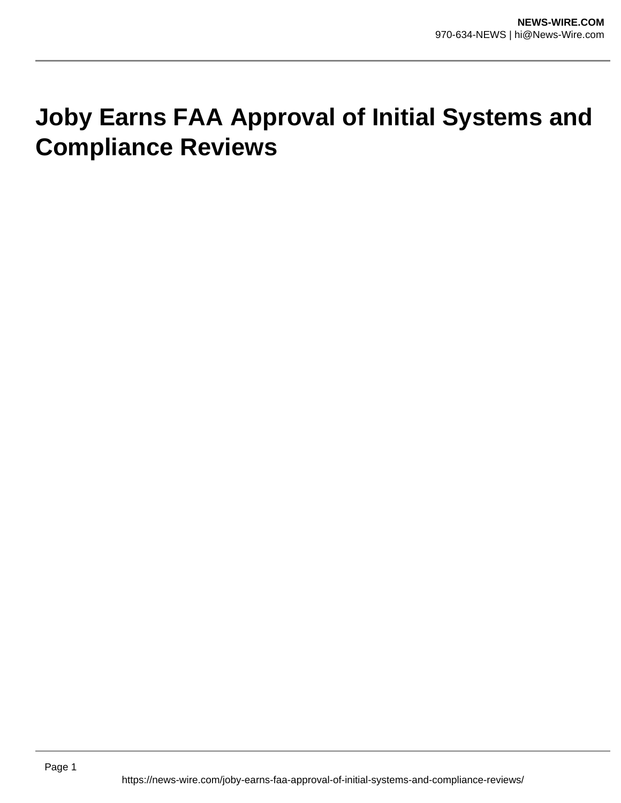## **Joby Earns FAA Approval of Initial Systems and Compliance Reviews**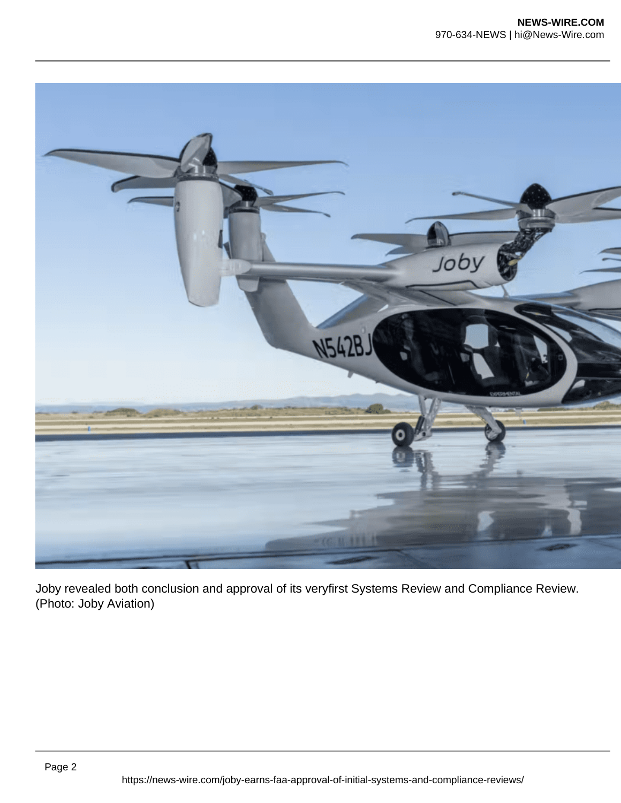

Joby revealed both conclusion and approval of its veryfirst Systems Review and Compliance Review. (Photo: Joby Aviation)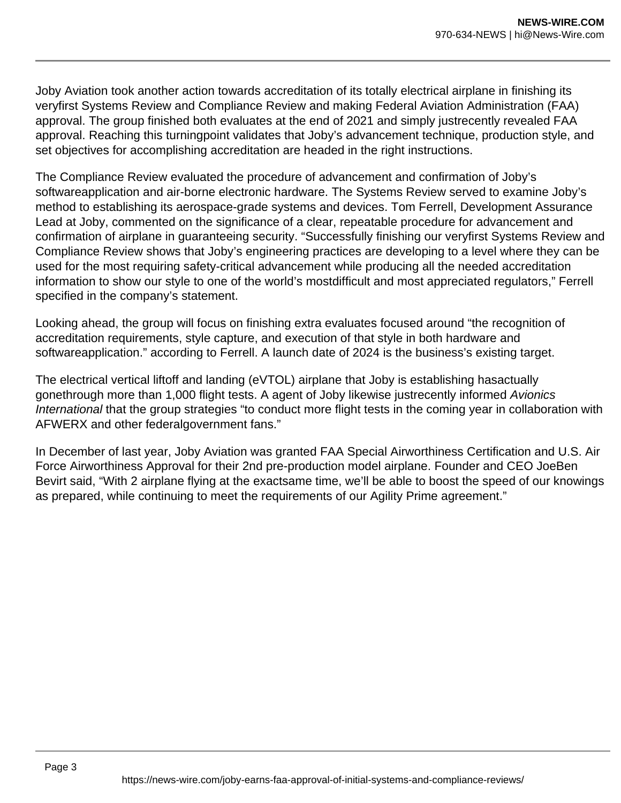Joby Aviation took another action towards accreditation of its totally electrical airplane in finishing its veryfirst Systems Review and Compliance Review and making Federal Aviation Administration (FAA) approval. The group finished both evaluates at the end of 2021 and simply justrecently revealed FAA approval. Reaching this turningpoint validates that Joby's advancement technique, production style, and set objectives for accomplishing accreditation are headed in the right instructions.

The Compliance Review evaluated the procedure of advancement and confirmation of Joby's softwareapplication and air-borne electronic hardware. The Systems Review served to examine Joby's method to establishing its aerospace-grade systems and devices. Tom Ferrell, Development Assurance Lead at Joby, commented on the significance of a clear, repeatable procedure for advancement and confirmation of airplane in guaranteeing security. "Successfully finishing our veryfirst Systems Review and Compliance Review shows that Joby's engineering practices are developing to a level where they can be used for the most requiring safety-critical advancement while producing all the needed accreditation information to show our style to one of the world's mostdifficult and most appreciated regulators," Ferrell specified in the company's statement.

Looking ahead, the group will focus on finishing extra evaluates focused around "the recognition of accreditation requirements, style capture, and execution of that style in both hardware and softwareapplication." according to Ferrell. A launch date of 2024 is the business's existing target.

The electrical vertical liftoff and landing (eVTOL) airplane that Joby is establishing hasactually gonethrough more than 1,000 flight tests. A agent of Joby likewise justrecently informed Avionics International that the group strategies "to conduct more flight tests in the coming year in collaboration with AFWERX and other federalgovernment fans."

In December of last year, Joby Aviation was granted FAA Special Airworthiness Certification and U.S. Air Force Airworthiness Approval for their 2nd pre-production model airplane. Founder and CEO JoeBen Bevirt said, "With 2 airplane flying at the exactsame time, we'll be able to boost the speed of our knowings as prepared, while continuing to meet the requirements of our Agility Prime agreement."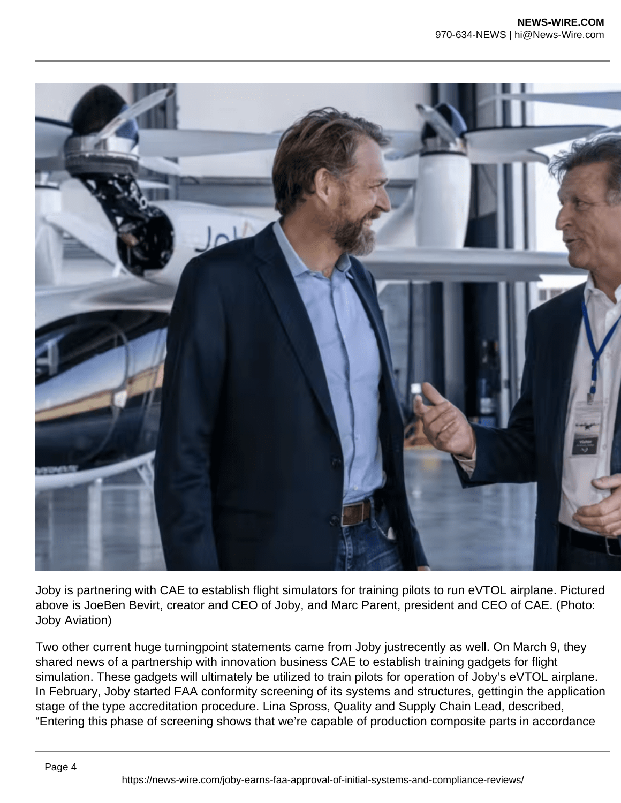

Joby is partnering with CAE to establish flight simulators for training pilots to run eVTOL airplane. Pictured above is JoeBen Bevirt, creator and CEO of Joby, and Marc Parent, president and CEO of CAE. (Photo: Joby Aviation)

Two other current huge turningpoint statements came from Joby justrecently as well. On March 9, they shared news of a partnership with innovation business CAE to establish training gadgets for flight simulation. These gadgets will ultimately be utilized to train pilots for operation of Joby's eVTOL airplane. In February, Joby started FAA conformity screening of its systems and structures, gettingin the application stage of the type accreditation procedure. Lina Spross, Quality and Supply Chain Lead, described, "Entering this phase of screening shows that we're capable of production composite parts in accordance